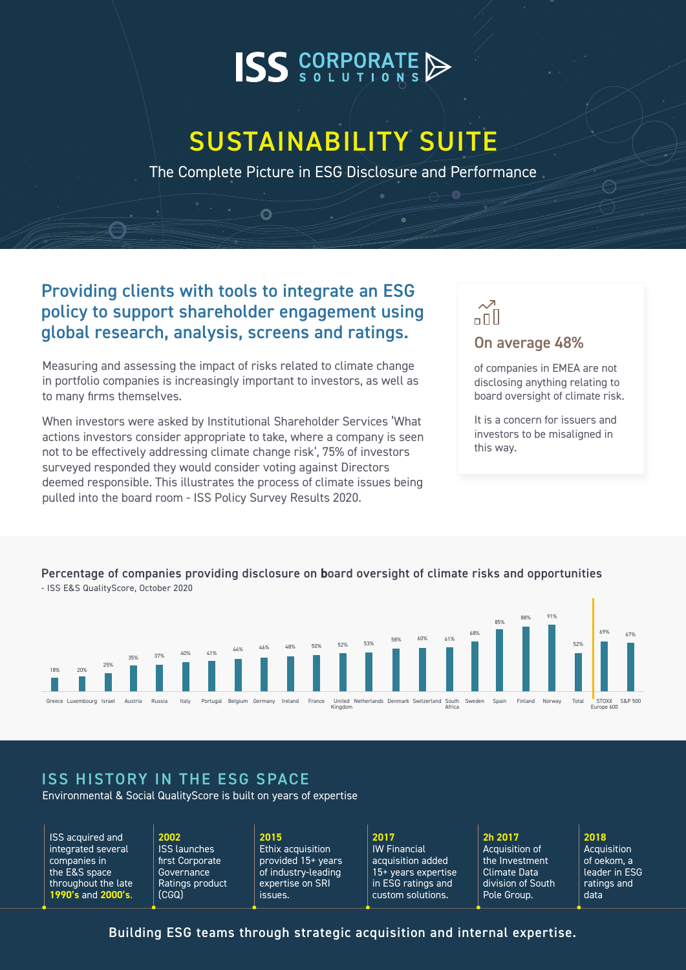# **ISS** CORPORATE

# SUSTAINABILITY SUITE

The Complete Picture in ESG Disclosure and Performance

### Providing clients with tools to integrate an ESG policy to support shareholder engagement using global research, analysis, screens and ratings.

Ā

Measuring and assessing the impact of risks related to climate change in portfolio companies is increasingly important to investors, as well as to many firms themselves.

When investors were asked by Institutional Shareholder Services 'What actions investors consider appropriate to take, where a company is seen not to be effectively addressing climate change risk', 75% of investors surveyed responded they would consider voting against Directors deemed responsible. This illustrates the process of climate issues being pulled into the board room - ISS Policy Survey Results 2020.

# $\overline{\mathcal{M}}$ ппП

## On average 48%

of companies in EMEA are not disclosing anything relating to board oversight of climate risk.

It is a concern for issuers and investors to be misaligned in this way.

### Percentage of companies providing disclosure on board oversight of climate risks and opportunities



- ISS E&S QualityScore, October 2020

## ISS HISTORY IN THE ESG SPACE

Environmental & Social QualityScore is built on years of expertise

ISS acquired and integrated several companies in the E&S space throughout the late **1990's** and **2000's**.

**2002** ISS launches first Corporate **Governance** Ratings product (CGQ)

**2015** Ethix acquisition provided 15+ years of industry-leading expertise on SRI issues.

**2017** IW Financial acquisition added 15+ years expertise in ESG ratings and custom solutions.

**2h 2017** Acquisition of the Investment Climate Data division of South Pole Group.

#### **2018**

Acquisition of oekom, a leader in ESG ratings and data

### Building ESG teams through strategic acquisition and internal expertise.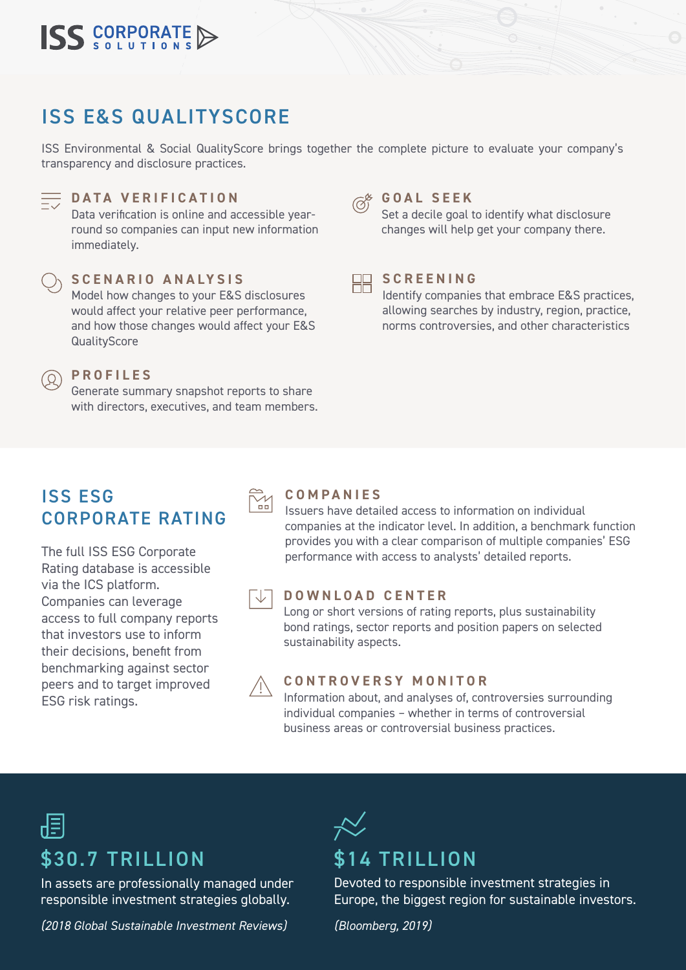

# ISS E&S QUALITYSCORE

ISS Environmental & Social QualityScore brings together the complete picture to evaluate your company's transparency and disclosure practices.



#### **DATA VERIFICATION**

Data verification is online and accessible yearround so companies can input new information immediately.



(O)

#### Model how changes to your E&S disclosures **SCENARIO ANALYSIS**

would affect your relative peer performance, and how those changes would affect your E&S **QualityScore** 

#### **PROFILES**

Generate summary snapshot reports to share with directors, executives, and team members.

# **GOAL SEEK**

Set a decile goal to identify what disclosure changes will help get your company there.



#### **SCREENING**

Identify companies that embrace E&S practices, allowing searches by industry, region, practice, norms controversies, and other characteristics

## ISS ESG CORPORATE RATING

The full ISS ESG Corporate Rating database is accessible via the ICS platform. Companies can leverage access to full company reports that investors use to inform their decisions, benefit from benchmarking against sector peers and to target improved ESG risk ratings.

|        | COME   |  |
|--------|--------|--|
| $\Box$ | STAIRS |  |

#### **PANIES**

Issuers have detailed access to information on individual companies at the indicator level. In addition, a benchmark function provides you with a clear comparison of multiple companies' ESG performance with access to analysts' detailed reports.

#### **DOWNLOAD CENTER**

Long or short versions of rating reports, plus sustainability bond ratings, sector reports and position papers on selected sustainability aspects.

#### **CONTROVERSY MONITOR**

Information about, and analyses of, controversies surrounding individual companies – whether in terms of controversial business areas or controversial business practices.

# \$30.7 TRILLION

In assets are professionally managed under responsible investment strategies globally.

*(2018 Global Sustainable Investment Reviews)*

# \$14 TRILLION

Devoted to responsible investment strategies in Europe, the biggest region for sustainable investors.

*(Bloomberg, 2019)*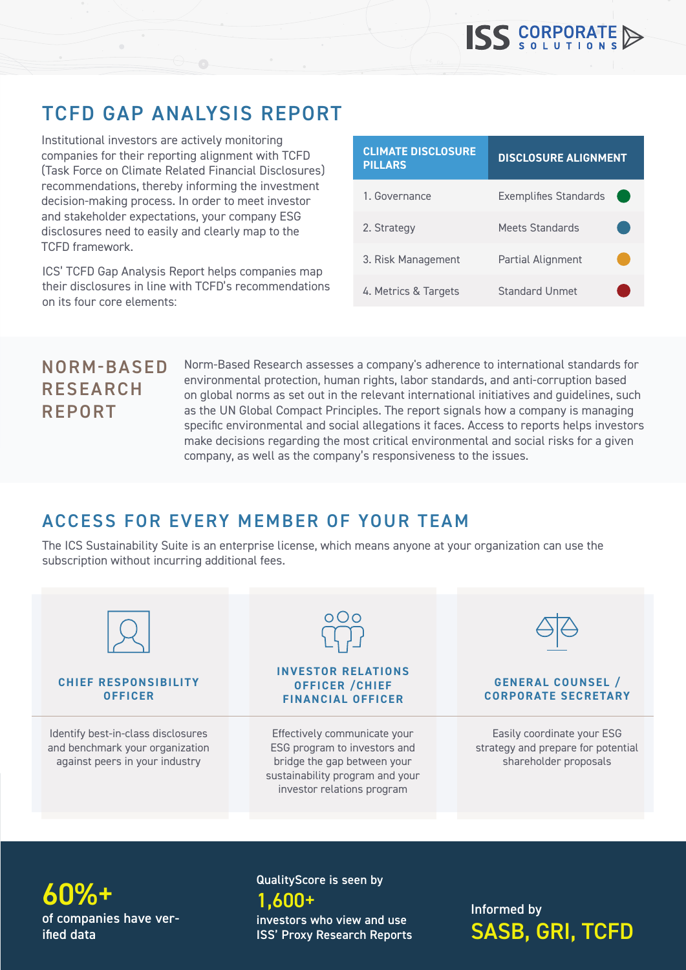# TCFD GAP ANALYSIS REPORT

Institutional investors are actively monitoring companies for their reporting alignment with TCFD (Task Force on Climate Related Financial Disclosures) recommendations, thereby informing the investment decision-making process. In order to meet investor and stakeholder expectations, your company ESG disclosures need to easily and clearly map to the TCFD framework.

ICS' TCFD Gap Analysis Report helps companies map their disclosures in line with TCFD's recommendations on its four core elements:

| <b>CLIMATE DISCLOSURE</b><br><b>PILLARS</b> | <b>DISCLOSURE ALIGNMENT</b>  |  |
|---------------------------------------------|------------------------------|--|
| 1. Governance                               | <b>Exemplifies Standards</b> |  |
| 2. Strategy                                 | Meets Standards              |  |
| 3. Risk Management                          | Partial Alignment            |  |
| 4. Metrics & Targets                        | Standard Unmet               |  |

# NORM-BASED RESEARCH REPORT

Norm-Based Research assesses a company's adherence to international standards for environmental protection, human rights, labor standards, and anti-corruption based on global norms as set out in the relevant international initiatives and guidelines, such as the UN Global Compact Principles. The report signals how a company is managing specific environmental and social allegations it faces. Access to reports helps investors make decisions regarding the most critical environmental and social risks for a given company, as well as the company's responsiveness to the issues.

# ACCESS FOR EVERY MEMBER OF YOUR TEAM

The ICS Sustainability Suite is an enterprise license, which means anyone at your organization can use the subscription without incurring additional fees.



of companies have verified data  $60\%$  +  $1,600+$  1,600 +  $1,600+$  Informed by

# QualityScore is seen by

investors who view and use ISS' Proxy Research Reports SASB, GRI, TCFD